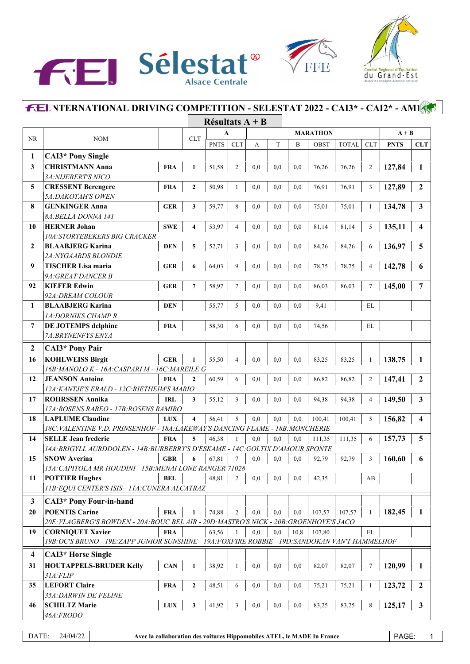





|                |                                                                                                                                              |                         | Résultats $A + B$ |            |     |     |      |                 |              |              |             |                         |
|----------------|----------------------------------------------------------------------------------------------------------------------------------------------|-------------------------|-------------------|------------|-----|-----|------|-----------------|--------------|--------------|-------------|-------------------------|
|                |                                                                                                                                              |                         | A                 |            |     |     |      | <b>MARATHON</b> |              |              | $A + B$     |                         |
| NR             | <b>NOM</b>                                                                                                                                   | CLT                     | <b>PNTS</b>       | <b>CLT</b> | A   | T   | B    | <b>OBST</b>     | <b>TOTAL</b> | <b>CLT</b>   | <b>PNTS</b> | <b>CLT</b>              |
| 1              | <b>CAI3*</b> Pony Single                                                                                                                     |                         |                   |            |     |     |      |                 |              |              |             |                         |
| $\mathbf{3}$   | <b>CHRISTMANN Anna</b><br><b>FRA</b>                                                                                                         | $\mathbf{1}$            | 51,58             | 2          | 0,0 | 0,0 | 0,0  | 76,26           | 76,26        |              |             |                         |
|                | 3A: NIJEBERT'S NICO                                                                                                                          |                         |                   |            |     |     |      |                 |              | 2            | 127,84      | 1                       |
| 5              | <b>CRESSENT Berengere</b><br><b>FRA</b>                                                                                                      | $\overline{2}$          | 50,98             | 1          | 0,0 | 0,0 | 0,0  | 76,91           | 76,91        | 3            | 127,89      | $\mathbf{2}$            |
|                | 5A: DAKOTAH'S OWEN                                                                                                                           |                         |                   |            |     |     |      |                 |              |              |             |                         |
| 8              | <b>GENKINGER Anna</b><br><b>GER</b>                                                                                                          | 3                       | 59,77             | 8          | 0,0 | 0,0 | 0,0  | 75,01           | 75,01        | $\mathbf{1}$ | 134,78      | $\mathbf{3}$            |
|                | 8A: BELLA DONNA 141                                                                                                                          |                         |                   |            |     |     |      |                 |              |              |             |                         |
| 10             | <b>HERNER Johan</b><br><b>SWE</b>                                                                                                            | $\overline{\mathbf{4}}$ | 53,97             | 4          | 0,0 | 0,0 | 0,0  | 81,14           | 81,14        | 5            | 135,11      | $\overline{\mathbf{4}}$ |
|                | <i><b>10A:STORTEBEKERS BIG CRACKER</b></i>                                                                                                   |                         |                   |            |     |     |      |                 |              |              |             |                         |
| $\overline{2}$ | <b>BLAABJERG Karina</b><br><b>DEN</b>                                                                                                        | 5                       | 52,71             | 3          | 0,0 | 0,0 | 0,0  | 84,26           | 84,26        | 6            | 136,97      | 5                       |
|                | 2A: NYGAARDS BLONDIE                                                                                                                         |                         |                   |            |     |     |      |                 |              |              |             |                         |
| 9              | <b>TISCHER Lisa maria</b><br><b>GER</b>                                                                                                      | 6                       | 64,03             | 9          | 0,0 | 0,0 | 0,0  | 78,75           | 78,75        | 4            | 142,78      | 6                       |
|                | 9A: GREAT DANCER B                                                                                                                           |                         |                   |            |     |     |      |                 |              |              |             |                         |
| 92             | <b>KIEFER Edwin</b><br><b>GER</b>                                                                                                            | 7                       | 58,97             | 7          | 0,0 | 0,0 | 0,0  | 86,03           | 86,03        | 7            | 145,00      | 7                       |
|                | 92A: DREAM COLOUR                                                                                                                            |                         |                   |            |     |     |      |                 |              |              |             |                         |
| $\mathbf{1}$   | <b>BLAABJERG Karina</b><br><b>DEN</b>                                                                                                        |                         | 55,77             | 5          | 0,0 | 0,0 | 0,0  | 9,41            |              | EL           |             |                         |
|                | 1A: DORNIKS CHAMP R                                                                                                                          |                         |                   |            |     |     |      |                 |              |              |             |                         |
| $\overline{7}$ | <b>DE JOTEMPS delphine</b><br><b>FRA</b>                                                                                                     |                         | 58,30             | 6          | 0,0 | 0,0 | 0,0  | 74,56           |              | EL           |             |                         |
|                | 7A: BRYNENFYS ENYA                                                                                                                           |                         |                   |            |     |     |      |                 |              |              |             |                         |
| $\overline{2}$ | <b>CAI3*</b> Pony Pair                                                                                                                       |                         |                   |            |     |     |      |                 |              |              |             |                         |
|                |                                                                                                                                              |                         |                   |            |     |     |      |                 |              |              |             |                         |
| 16             | <b>KOHLWEISS Birgit</b><br><b>GER</b>                                                                                                        | $\mathbf{1}$            | 55,50             | 4          | 0,0 | 0,0 | 0,0  | 83,25           | 83,25        | $\mathbf{1}$ | 138,75      | 1                       |
| 12             | 16B: MANOLO K - 16A: CASPARI M - 16C: MAREILE G<br><b>JEANSON Antoine</b><br><b>FRA</b>                                                      | $\overline{2}$          |                   | 6          | 0.0 | 0,0 | 0,0  | 86,82           | 86,82        | 2            |             | $\mathbf{2}$            |
|                | 12A: KANTJE'S ERALD - 12C: RIETHEIM'S MARIO                                                                                                  |                         | 60,59             |            |     |     |      |                 |              |              | 147,41      |                         |
| 17             | <b>ROHRSSEN Annika</b><br><b>IRL</b>                                                                                                         | 3                       | 55,12             | 3          | 0,0 | 0,0 | 0,0  | 94,38           | 94,38        | 4            | 149,50      | $\mathbf{3}$            |
|                | 17A: ROSENS RABEO - 17B: ROSENS RAMIRO                                                                                                       |                         |                   |            |     |     |      |                 |              |              |             |                         |
| 18             | <b>LAPLUME Claudine</b><br><b>LUX</b>                                                                                                        | $\overline{\mathbf{4}}$ | 56,41             | 5          | 0,0 | 0,0 | 0,0  | 100,41          | 100,41       | 5            | 156,82      | $\overline{\mathbf{4}}$ |
|                | 18C: VALENTINE V.D. PRINSENHOF - 18A: LAKEWAY'S DANCING FLAME - 18B: MONCHERIE                                                               |                         |                   |            |     |     |      |                 |              |              |             |                         |
| 14             | <b>SELLE Jean frederic</b><br><b>FRA</b>                                                                                                     | 5                       | 46,38             | 1          | 0.0 | 0,0 | 0,0  | 111,35          | 111,35       | 6            | 157,73      | 5                       |
|                | 14A: BRIGYLL AURDDOLEN - 14B: BURBERRY'S D'ESKAME - 14C: GOLTIX D'AMOUR SPONTE                                                               |                         |                   |            |     |     |      |                 |              |              |             |                         |
| 15             | <b>SNOW Averina</b><br><b>GBR</b>                                                                                                            | 6                       | 67,81             | 7          | 0.0 | 0,0 | 0,0  | 92,79           | 92,79        | 3            | 160,60      | 6                       |
|                | 15A: CAPITOLA MR HOUDINI - 15B: MENAI LONE RANGER 71028                                                                                      |                         |                   |            |     |     |      |                 |              |              |             |                         |
| 11             | <b>POTTIER Hughes</b><br>BEL                                                                                                                 |                         | 48,81             | 2          | 0,0 | 0,0 | 0,0  | 42,35           |              | AB           |             |                         |
|                | 11B: EQUI CENTER'S ISIS - 11A: CUNERA ALCATRAZ                                                                                               |                         |                   |            |     |     |      |                 |              |              |             |                         |
| $\mathbf{3}$   | <b>CAI3*</b> Pony Four-in-hand                                                                                                               |                         |                   |            |     |     |      |                 |              |              |             |                         |
|                |                                                                                                                                              |                         |                   |            |     |     |      |                 |              |              |             |                         |
| 20             | <b>POENTIS Carine</b><br><b>FRA</b>                                                                                                          | 1                       | 74,88             | 2          | 0,0 | 0,0 | 0,0  | 107,57          | 107,57       | 1            | 182,45      | 1                       |
|                | 20E: VLAGBERG'S BOWDEN - 20A: BOUC BEL AIR - 20D: MASTRO'S NICK - 20B: GROENHOVE'S JACO                                                      |                         |                   |            |     |     |      |                 |              |              |             |                         |
| 19             | <b>CORNIQUET Xavier</b><br><b>FRA</b><br>19B: OC'S BRUNO - 19E: ZAPP JUNIOR SUNSHINE - 19A: FOXFIRE ROBBIE - 19D: SANDOKAN VAN'T HAMMELHOF - |                         | 63,56             | 1          | 0,0 | 0,0 | 10,8 | 107,80          |              | EL           |             |                         |
|                |                                                                                                                                              |                         |                   |            |     |     |      |                 |              |              |             |                         |
| 4              | <b>CAI3*</b> Horse Single                                                                                                                    |                         |                   |            |     |     |      |                 |              |              |             |                         |
| 31             | <b>HOUTAPPELS-BRUDER Kelly</b><br><b>CAN</b>                                                                                                 | $\mathbf{1}$            | 38,92             | 1          | 0,0 | 0,0 | 0,0  | 82,07           | 82,07        | 7            | 120,99      | 1                       |
|                | 31A:FLIP                                                                                                                                     |                         |                   |            |     |     |      |                 |              |              |             |                         |
| 35             | <b>LEFORT Claire</b><br><b>FRA</b>                                                                                                           | $\mathbf{2}$            | 48,51             | 6          | 0,0 | 0,0 | 0,0  | 75,21           | 75,21        | 1            | 123,72      | $\boldsymbol{2}$        |
|                | 35A: DARWIN DE FELINE                                                                                                                        |                         |                   |            |     |     |      |                 |              |              |             |                         |
| 46             | <b>SCHILTZ Marie</b><br>${\bf LUX}$                                                                                                          | 3                       | 41,92             | 3          | 0,0 | 0,0 | 0,0  | 83,25           | 83,25        | 8            | 125,17      | 3                       |
|                | 46A:FRODO                                                                                                                                    |                         |                   |            |     |     |      |                 |              |              |             |                         |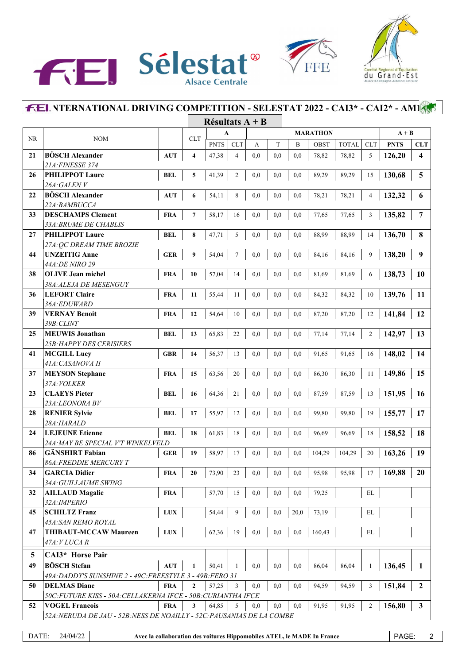





|          |                                                                        |             | Résultats $A + B$       |             |                |           |          |                 |        |              |                   |             |                         |
|----------|------------------------------------------------------------------------|-------------|-------------------------|-------------|----------------|-----------|----------|-----------------|--------|--------------|-------------------|-------------|-------------------------|
|          |                                                                        |             |                         | A           |                |           |          | <b>MARATHON</b> |        |              |                   | $A + B$     |                         |
| $\rm NR$ | <b>NOM</b>                                                             |             | <b>CLT</b>              | <b>PNTS</b> | <b>CLT</b>     | А         | T        | B               | OBST   | <b>TOTAL</b> | <b>CLT</b>        | <b>PNTS</b> | <b>CLT</b>              |
| 21       | <b>BÖSCH Alexander</b>                                                 | <b>AUT</b>  | $\overline{\mathbf{4}}$ | 47,38       | $\overline{4}$ | 0,0       | 0,0      | 0,0             | 78,82  | 78,82        | 5                 | 126,20      | $\overline{\mathbf{4}}$ |
|          | 21A: FINESSE 374                                                       |             |                         |             |                |           |          |                 |        |              |                   |             |                         |
| 26       | <b>PHILIPPOT Laure</b>                                                 | <b>BEL</b>  | 5                       | 41,39       | $\overline{c}$ | 0,0       | 0,0      | 0,0             | 89,29  | 89,29        | 15                | 130,68      | 5                       |
|          | 26A:GALENV                                                             |             |                         |             |                |           |          |                 |        |              |                   |             |                         |
| 22       | <b>BÖSCH Alexander</b>                                                 | <b>AUT</b>  | 6                       | 54,11       | 8              | 0,0       | 0,0      | 0,0             | 78,21  | 78,21        | $\overline{4}$    | 132,32      | 6                       |
|          | 22A:BAMBUCCA                                                           |             |                         |             |                |           |          |                 |        |              |                   |             |                         |
| 33       | <b>DESCHAMPS Clement</b>                                               | <b>FRA</b>  | $\overline{7}$          | 58,17       | 16             | 0,0       | 0,0      | $_{\rm 0,0}$    | 77,65  | 77,65        | 3                 | 135,82      | 7                       |
|          | 33A: BRUME DE CHABLIS                                                  |             |                         |             |                |           |          |                 |        |              |                   |             |                         |
| 27       | <b>PHILIPPOT Laure</b>                                                 | <b>BEL</b>  | 8                       | 47,71       | 5              | 0,0       | 0,0      | 0,0             | 88,99  | 88,99        | 14                | 136,70      | 8                       |
|          | 27A: QC DREAM TIME BROZIE                                              |             |                         |             |                |           |          |                 |        |              |                   |             |                         |
| 44       | <b>UNZEITIG Anne</b>                                                   | <b>GER</b>  | 9                       | 54,04       | $\overline{7}$ | 0,0       | 0,0      | 0,0             | 84,16  | 84,16        | 9                 | 138,20      | 9                       |
|          | 44A: DE NIRO 29<br><b>OLIVE Jean michel</b>                            |             |                         |             |                |           |          |                 |        |              |                   |             |                         |
| 38       | 38A: ALEJA DE MESENGUY                                                 | <b>FRA</b>  | 10                      | 57,04       | 14             | 0,0       | 0,0      | 0,0             | 81,69  | 81,69        | 6                 | 138,73      | <b>10</b>               |
| 36       | <b>LEFORT Claire</b>                                                   | <b>FRA</b>  | 11                      | 55,44       | 11             | 0,0       | 0,0      | 0,0             | 84,32  | 84,32        | 10                | 139,76      | 11                      |
|          | 36A:EDUWARD                                                            |             |                         |             |                |           |          |                 |        |              |                   |             |                         |
| 39       | <b>VERNAY Benoit</b>                                                   | <b>FRA</b>  | 12                      | 54,64       | 10             | 0,0       | 0,0      | 0,0             | 87,20  | 87,20        | 12                | 141,84      | 12                      |
|          | 39B:CLINT                                                              |             |                         |             |                |           |          |                 |        |              |                   |             |                         |
| 25       | <b>MEUWIS</b> Jonathan                                                 | <b>BEL</b>  | 13                      | 65,83       | 22             | 0,0       | 0,0      | 0,0             | 77,14  | 77,14        | $\overline{2}$    | 142,97      | 13                      |
|          | 25B: HAPPY DES CERISIERS                                               |             |                         |             |                |           |          |                 |        |              |                   |             |                         |
| 41       | <b>MCGILL Lucy</b>                                                     | <b>GBR</b>  | 14                      | 56,37       | 13             | 0,0       | 0,0      | 0,0             | 91,65  | 91,65        | 16                | 148,02      | 14                      |
|          | 41A: CASANOVA II                                                       |             |                         |             |                |           |          |                 |        |              |                   |             |                         |
| 37       | <b>MEYSON</b> Stephane                                                 | <b>FRA</b>  | 15                      | 63,56       | 20             | 0,0       | 0,0      | 0,0             | 86,30  | 86,30        | 11                | 149,86      | 15                      |
|          | 37A: VOLKER                                                            |             |                         |             |                |           |          |                 |        |              |                   |             |                         |
| 23       | <b>CLAEYS Pieter</b>                                                   | <b>BEL</b>  | 16                      | 64,36       | 21             | 0,0       | 0,0      | $_{0,0}$        | 87,59  | 87,59        | 13                | 151,95      | 16                      |
|          | 23A:LEONORA BV                                                         |             |                         |             |                |           |          |                 |        |              |                   |             |                         |
| 28       | <b>RENIER Sylvie</b>                                                   | <b>BEL</b>  | 17                      | 55,97       | 12             | 0,0       | 0,0      | 0,0             | 99,80  | 99,80        | 19                | 155,77      | 17                      |
|          | 28A:HARALD                                                             |             |                         |             |                |           |          |                 |        |              |                   |             |                         |
| 24       | <b>LEJEUNE Etienne</b>                                                 | <b>BEL</b>  | 18                      | 61,83       | 18             | 0,0       | 0,0      | 0,0             | 96,69  | 96,69        | 18                | 158,52      | 18                      |
| 86       | 24A: MAY BE SPECIAL V'T WINKELVELD<br><b>GÄNSHIRT Fabian</b>           |             |                         |             |                |           | 0,0      | 0,0             |        |              |                   | 163,26      | 19                      |
|          | <b>86A: FREDDIE MERCURY T</b>                                          | <b>GER</b>  | 19                      | 58,97       | 17             | 0,0       |          |                 | 104,29 | 104,29       | 20                |             |                         |
| 34       | <b>GARCIA Didier</b>                                                   | <b>FRA</b>  | ${\bf 20}$              | 73,90       | 23             | $\rm 0,0$ | $_{0,0}$ | $_{0,0}$        | 95,98  | 95,98        | 17                | 169,88      | $20\,$                  |
|          | 34A: GUILLAUME SWING                                                   |             |                         |             |                |           |          |                 |        |              |                   |             |                         |
| 32       | <b>AILLAUD Magalie</b>                                                 | <b>FRA</b>  |                         | 57,70       | 15             | 0,0       | 0,0      | 0,0             | 79,25  |              | $\mathop{\rm EL}$ |             |                         |
|          | 32A: IMPERIO                                                           |             |                         |             |                |           |          |                 |        |              |                   |             |                         |
| 45       | <b>SCHILTZ Franz</b>                                                   | <b>LUX</b>  |                         | 54,44       | 9              | 0,0       | 0,0      | 20,0            | 73,19  |              | EL                |             |                         |
|          | 45A: SAN REMO ROYAL                                                    |             |                         |             |                |           |          |                 |        |              |                   |             |                         |
| 47       | <b>THIBAUT-MCCAW Maureen</b>                                           | ${\bf LUX}$ |                         | 62,36       | 19             | 0,0       | 0,0      | 0,0             | 160,43 |              | EL                |             |                         |
|          | 47A: V LUCA R                                                          |             |                         |             |                |           |          |                 |        |              |                   |             |                         |
| 5        | <b>CAI3*</b> Horse Pair                                                |             |                         |             |                |           |          |                 |        |              |                   |             |                         |
| 49       | <b>BÖSCH</b> Stefan                                                    | AUT         | 1                       | 50,41       | 1              | 0,0       | 0,0      | 0,0             | 86,04  | 86,04        | 1                 | 136,45      | 1                       |
|          | 49A: DADDY'S SUNSHINE 2 - 49C: FREESTYLE 3 - 49B: FERO 31              |             |                         |             |                |           |          |                 |        |              |                   |             |                         |
| 50       | <b>DELMAS Diane</b>                                                    | <b>FRA</b>  | $\mathbf{2}$            | 57,25       | 3              | 0,0       | 0,0      | 0,0             | 94,59  | 94,59        | 3                 | 151,84      | $\boldsymbol{2}$        |
|          | 50C: FUTURE KISS - 50A: CELLAKERNA IFCE - 50B: CURIANTHA IFCE          |             |                         |             |                |           |          |                 |        |              |                   |             |                         |
| 52       | <b>VOGEL Francois</b>                                                  | <b>FRA</b>  | 3                       | 64,85       | 5              | 0,0       | 0,0      | 0,0             | 91,95  | 91,95        | 2                 | 156,80      | $\mathbf{3}$            |
|          | 52A: NERUDA DE JAU - 52B: NESS DE NOAILLY - 52C: PAUSANIAS DE LA COMBE |             |                         |             |                |           |          |                 |        |              |                   |             |                         |
|          |                                                                        |             |                         |             |                |           |          |                 |        |              |                   |             |                         |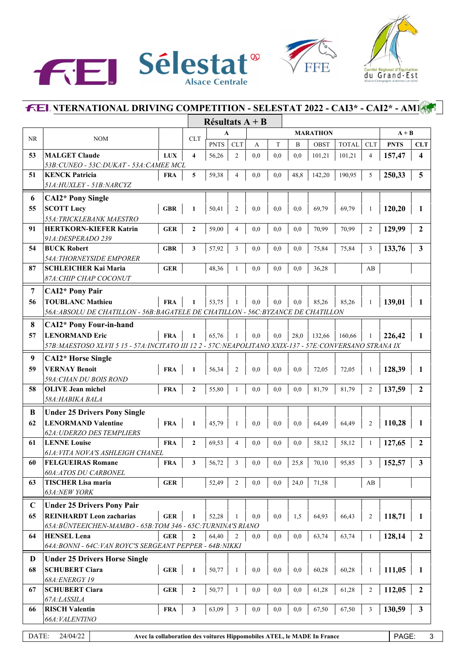





|             |                                                                                                           |            |                         | Résultats $A + B$ |                |     |     |      |                                                                         |              |                |             |                         |
|-------------|-----------------------------------------------------------------------------------------------------------|------------|-------------------------|-------------------|----------------|-----|-----|------|-------------------------------------------------------------------------|--------------|----------------|-------------|-------------------------|
|             |                                                                                                           |            | <b>CLT</b>              |                   | A              |     |     |      | <b>MARATHON</b>                                                         | $A + B$      |                |             |                         |
| <b>NR</b>   | <b>NOM</b>                                                                                                |            |                         | <b>PNTS</b>       | <b>CLT</b>     | А   | T   | B    | OBST                                                                    | <b>TOTAL</b> | <b>CLT</b>     | <b>PNTS</b> | <b>CLT</b>              |
| 53          | <b>MALGET Claude</b>                                                                                      | <b>LUX</b> | $\overline{\mathbf{4}}$ | 56,26             | $\mathfrak{2}$ | 0.0 | 0,0 | 0,0  | 101,21                                                                  | 101,21       | $\overline{4}$ | 157,47      | $\overline{\mathbf{4}}$ |
|             | 53B: CUNEO - 53C: DUKAT - 53A: CAMEE MCL                                                                  |            |                         |                   |                |     |     |      |                                                                         |              |                |             |                         |
| 51          | <b>KENCK Patricia</b>                                                                                     | <b>FRA</b> | 5                       | 59,38             | 4              | 0,0 | 0,0 | 48,8 | 142,20                                                                  | 190,95       | 5              | 250,33      | 5                       |
|             | 51A: HUXLEY - 51B: NARCYZ                                                                                 |            |                         |                   |                |     |     |      |                                                                         |              |                |             |                         |
| 6           | <b>CAI2*</b> Pony Single                                                                                  |            |                         |                   |                |     |     |      |                                                                         |              |                |             |                         |
| 55          | <b>SCOTT Lucy</b>                                                                                         | <b>GBR</b> | 1                       | 50,41             | $\overline{2}$ | 0,0 | 0,0 | 0,0  | 69,79                                                                   | 69,79        | 1              | 120,20      | 1                       |
|             | 55A: TRICKLEBANK MAESTRO                                                                                  |            |                         |                   |                |     |     |      |                                                                         |              |                |             |                         |
| 91          | <b>HERTKORN-KIEFER Katrin</b>                                                                             | <b>GER</b> | $\mathbf{2}$            | 59,00             | 4              | 0,0 | 0,0 | 0,0  | 70,99                                                                   | 70,99        | $\overline{2}$ | 129,99      | $\overline{2}$          |
|             | 91A: DESPERADO 239                                                                                        |            |                         |                   |                |     |     |      |                                                                         |              |                |             |                         |
| 54          | <b>BUCK Robert</b>                                                                                        | <b>GBR</b> | 3                       | 57,92             | 3              | 0,0 | 0,0 | 0,0  | 75,84                                                                   | 75,84        | 3              | 133,76      | $\mathbf{3}$            |
| 87          | 54A: THORNEYSIDE EMPORER<br><b>SCHLEICHER Kai Maria</b>                                                   | <b>GER</b> |                         | 48,36             |                | 0,0 | 0.0 | 0,0  |                                                                         |              |                |             |                         |
|             | 87A: CHIP CHAP COCONUT                                                                                    |            |                         |                   |                |     |     |      | 36,28                                                                   |              | AB             |             |                         |
|             |                                                                                                           |            |                         |                   |                |     |     |      |                                                                         |              |                |             |                         |
| 7           | <b>CAI2*</b> Pony Pair                                                                                    |            |                         |                   |                |     |     |      |                                                                         |              |                |             |                         |
| 56          | <b>TOUBLANC Mathieu</b>                                                                                   | <b>FRA</b> | $\mathbf{1}$            | 53,75             | 1              | 0.0 | 0.0 | 0.0  | 85,26                                                                   | 85,26        | $\mathbf{1}$   | 139,01      | $\mathbf{1}$            |
|             | 56A: ABSOLU DE CHATILLON - 56B: BAGATELE DE CHATILLON - 56C: BYZANCE DE CHATILLON                         |            |                         |                   |                |     |     |      |                                                                         |              |                |             |                         |
| 8           | <b>CAI2*</b> Pony Four-in-hand                                                                            |            |                         |                   |                |     |     |      |                                                                         |              |                |             |                         |
| 57          | <b>LENORMAND Eric</b>                                                                                     | <b>FRA</b> | 1                       | 65,76             | 1              | 0,0 | 0,0 | 28,0 | 132,66                                                                  | 160,66       | 1              | 226.42      | 1                       |
|             | 57B: MAESTOSO XLVII 5 15 - 57A: INCITATO III 12 2 - 57C: NEAPOLITANO XXIX-137 - 57E: CONVERSANO STRANA IX |            |                         |                   |                |     |     |      |                                                                         |              |                |             |                         |
| 9           | <b>CAI2*</b> Horse Single                                                                                 |            |                         |                   |                |     |     |      |                                                                         |              |                |             |                         |
| 59          | <b>VERNAY Benoit</b>                                                                                      | <b>FRA</b> | 1                       | 56,34             | 2              | 0,0 | 0,0 | 0,0  | 72,05                                                                   | 72,05        | 1              | 128,39      | 1                       |
|             | 59A: CHAN DU BOIS ROND                                                                                    |            |                         |                   |                |     |     |      |                                                                         |              |                |             |                         |
| 58          | <b>OLIVE Jean michel</b>                                                                                  | <b>FRA</b> | $\mathbf{2}$            | 55,80             |                | 0,0 | 0,0 | 0,0  | 81,79                                                                   | 81,79        | $\mathfrak{2}$ | 137,59      | $\boldsymbol{2}$        |
|             | 58A: HABIKA BALA                                                                                          |            |                         |                   |                |     |     |      |                                                                         |              |                |             |                         |
| B           | <b>Under 25 Drivers Pony Single</b>                                                                       |            |                         |                   |                |     |     |      |                                                                         |              |                |             |                         |
| 62          | <b>LENORMAND Valentine</b>                                                                                | <b>FRA</b> | $\mathbf{1}$            | 45,79             | 1              | 0,0 | 0,0 | 0,0  | 64,49                                                                   | 64,49        | 2              | 110,28      | 1                       |
|             | 62A: UDERZO DES TEMPLIERS                                                                                 |            |                         |                   |                |     |     |      |                                                                         |              |                |             |                         |
| 61          | <b>LENNE Louise</b>                                                                                       | <b>FRA</b> | $\mathbf{2}$            | 69,53             | 4              | 0,0 | 0,0 | 0,0  | 58,12                                                                   | 58,12        | 1              | 127,65      | $\boldsymbol{2}$        |
| 60          | <b>61A: VITA NOVA'S ASHLEIGH CHANEL</b><br><b>FELGUEIRAS Romane</b>                                       |            | 3                       |                   | 3              |     | 0.0 |      |                                                                         |              | 3              |             |                         |
|             | 60A: ATOS DU CARBONEL                                                                                     | <b>FRA</b> |                         | 56,72             |                | 0,0 |     | 25,8 | 70,10                                                                   | 95,85        |                | 152,57      | $\mathbf{3}$            |
| 63          | <b>TISCHER Lisa maria</b>                                                                                 | <b>GER</b> |                         | 52,49             | 2              | 0,0 | 0,0 | 24,0 | 71,58                                                                   |              | AB             |             |                         |
|             | 63A:NEW YORK                                                                                              |            |                         |                   |                |     |     |      |                                                                         |              |                |             |                         |
| $\mathbf C$ | <b>Under 25 Drivers Pony Pair</b>                                                                         |            |                         |                   |                |     |     |      |                                                                         |              |                |             |                         |
| 65          | <b>REINHARDT Leon zacharias</b>                                                                           |            |                         |                   |                |     |     |      |                                                                         |              |                | 118,71      | 1                       |
|             | 65A: BÜNTEEICHEN-MAMBO - 65B: TOM 346 - 65C: TURNINA'S RIANO                                              | <b>GER</b> | 1                       | 52,28             |                | 0,0 | 0,0 | 1,5  | 64,93                                                                   | 66,43        | 2              |             |                         |
| 64          | <b>HENSEL Lena</b>                                                                                        | <b>GER</b> | $\overline{2}$          | 64,40             | $\mathfrak{2}$ | 0,0 | 0,0 | 0,0  | 63,74                                                                   | 63,74        |                | 128,14      | $\boldsymbol{2}$        |
|             | 64A: BONNI - 64C: VAN ROYC'S SERGEANT PEPPER - 64B: NIKKI                                                 |            |                         |                   |                |     |     |      |                                                                         |              |                |             |                         |
| D           |                                                                                                           |            |                         |                   |                |     |     |      |                                                                         |              |                |             |                         |
|             | <b>Under 25 Drivers Horse Single</b>                                                                      |            |                         |                   |                |     |     |      |                                                                         |              |                |             |                         |
| 68          | <b>SCHUBERT Ciara</b><br>68A: ENERGY 19                                                                   | <b>GER</b> | $\mathbf{1}$            | 50,77             | 1              | 0,0 | 0,0 | 0,0  | 60,28                                                                   | 60,28        | 1              | 111,05      | 1                       |
| 67          | <b>SCHUBERT Ciara</b>                                                                                     | <b>GER</b> | $\mathbf{2}$            | 50,77             | 1              | 0,0 | 0,0 | 0,0  | 61,28                                                                   | 61,28        | $\overline{c}$ | 112,05      | $\boldsymbol{2}$        |
|             | 67A:LASSILA                                                                                               |            |                         |                   |                |     |     |      |                                                                         |              |                |             |                         |
| 66          | <b>RISCH Valentin</b>                                                                                     | <b>FRA</b> | 3                       | 63,09             | 3              | 0,0 | 0,0 | 0,0  | 67,50                                                                   | 67,50        | 3              | 130,59      | $\mathbf{3}$            |
|             | 66A: VALENTINO                                                                                            |            |                         |                   |                |     |     |      |                                                                         |              |                |             |                         |
|             |                                                                                                           |            |                         |                   |                |     |     |      |                                                                         |              |                |             |                         |
| DATE:       | 24/04/22                                                                                                  |            |                         |                   |                |     |     |      | Avec la collaboration des voitures Hippomobiles ATEL, le MADE In France |              |                | PAGE:       | 3                       |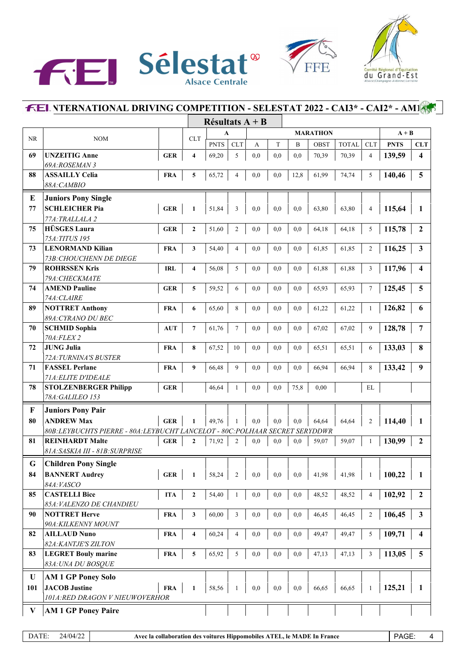





|           |                                                                                                      |                         | Résultats $A + B$       |             |                         |     |           |          |                 |              |                |             |                         |
|-----------|------------------------------------------------------------------------------------------------------|-------------------------|-------------------------|-------------|-------------------------|-----|-----------|----------|-----------------|--------------|----------------|-------------|-------------------------|
|           |                                                                                                      |                         |                         | A           |                         |     |           |          | <b>MARATHON</b> |              |                | $A + B$     |                         |
| <b>NR</b> | <b>NOM</b>                                                                                           |                         | <b>CLT</b>              | <b>PNTS</b> | <b>CLT</b>              | А   | T         | B        | <b>OBST</b>     | <b>TOTAL</b> | <b>CLT</b>     | <b>PNTS</b> | <b>CLT</b>              |
| 69        | <b>UNZEITIG Anne</b>                                                                                 | <b>GER</b>              | $\overline{\mathbf{4}}$ | 69,20       | 5                       | 0,0 | 0,0       | 0,0      | 70,39           | 70,39        | $\overline{4}$ | 139,59      | $\overline{\mathbf{4}}$ |
|           | 69A:ROSEMAN 3                                                                                        |                         |                         |             |                         |     |           |          |                 |              |                |             |                         |
| 88        | <b>ASSAILLY Celia</b>                                                                                | <b>FRA</b>              | 5                       | 65,72       | 4                       | 0,0 | 0,0       | 12,8     | 61,99           | 74,74        | 5              | 140,46      | 5                       |
|           | 88A: CAMBIO                                                                                          |                         |                         |             |                         |     |           |          |                 |              |                |             |                         |
| E         | <b>Juniors Pony Single</b>                                                                           |                         |                         |             |                         |     |           |          |                 |              |                |             |                         |
| 77        | <b>SCHLEICHER Pia</b>                                                                                | <b>GER</b>              | 1                       | 51,84       | 3                       | 0.0 | 0,0       | 0,0      | 63,80           | 63,80        | $\overline{4}$ | 115,64      | 1                       |
|           | 77A: TRALLALA 2                                                                                      |                         |                         |             |                         |     |           |          |                 |              |                |             |                         |
| 75        | <b>HÜSGES Laura</b>                                                                                  | <b>GER</b>              | $\mathbf{2}$            | 51,60       | $\overline{c}$          | 0,0 | 0,0       | 0,0      | 64,18           | 64,18        | 5              | 115,78      | $\overline{2}$          |
|           | 75A: TITUS 195                                                                                       |                         |                         |             |                         |     |           |          |                 |              |                |             |                         |
| 73        | <b>LENORMAND Kilian</b>                                                                              | <b>FRA</b>              | 3                       | 54,40       | 4                       | 0,0 | 0,0       | 0,0      | 61,85           | 61,85        | $\overline{2}$ | 116,25      | 3                       |
|           | 73B: CHOUCHENN DE DIEGE                                                                              |                         |                         |             |                         |     |           |          |                 |              |                |             |                         |
| 79        | <b>ROHRSSEN Kris</b>                                                                                 | <b>IRL</b>              | $\overline{\mathbf{4}}$ | 56,08       | 5                       | 0,0 | 0,0       | 0,0      | 61,88           | 61,88        | 3              | 117,96      | 4                       |
|           | 79A: CHECKMATE                                                                                       |                         |                         |             |                         |     |           |          |                 |              |                |             |                         |
| 74        | <b>AMEND Pauline</b>                                                                                 | <b>GER</b>              | 5                       | 59,52       | 6                       | 0,0 | 0,0       | 0,0      | 65,93           | 65,93        | $\tau$         | 125,45      | 5                       |
|           | 74A: CLAIRE                                                                                          |                         |                         |             |                         |     |           |          |                 |              |                |             |                         |
| 89        | <b>NOTTRET Anthony</b>                                                                               | <b>FRA</b>              | 6                       | 65,60       | 8                       | 0,0 | 0,0       | 0,0      | 61,22           | 61,22        | 1              | 126,82      | 6                       |
|           | 89A: CYRANO DU BEC                                                                                   |                         |                         |             |                         |     |           |          |                 |              |                |             |                         |
| 70        | <b>SCHMID Sophia</b>                                                                                 | <b>AUT</b>              | $\overline{7}$          | 61,76       | 7                       | 0,0 | 0,0       | 0,0      | 67,02           | 67,02        | 9              | 128,78      | 7                       |
|           | 70A: FLEX 2                                                                                          |                         |                         |             |                         |     |           |          |                 |              |                |             |                         |
| 72        | <b>JUNG Julia</b>                                                                                    | <b>FRA</b>              | 8                       | 67,52       | 10                      | 0,0 | 0,0       | 0,0      | 65,51           | 65,51        | 6              | 133,03      | 8                       |
| 71        | 72A: TURNINA'S BUSTER<br><b>FASSEL Perlane</b>                                                       | <b>FRA</b>              | 9                       | 66,48       | 9                       | 0,0 | 0,0       | 0,0      | 66,94           | 66,94        | 8              | 133,42      | 9                       |
|           | 71A: ELITE D'IDEALE                                                                                  |                         |                         |             |                         |     |           |          |                 |              |                |             |                         |
| 78        | <b>STOLZENBERGER Philipp</b>                                                                         | <b>GER</b>              |                         | 46,64       | 1                       | 0,0 | 0,0       | 75,8     | 0,00            |              | EL             |             |                         |
|           | 78A: GALILEO 153                                                                                     |                         |                         |             |                         |     |           |          |                 |              |                |             |                         |
|           |                                                                                                      |                         |                         |             |                         |     |           |          |                 |              |                |             |                         |
| F         | <b>Juniors Pony Pair</b>                                                                             |                         |                         |             |                         |     |           |          |                 |              |                |             |                         |
| 80        | <b>ANDREW Max</b>                                                                                    | <b>GER</b>              | 1                       | 49,76       | 1                       | 0,0 | 0,0       | 0,0      | 64,64           | 64,64        | $\overline{2}$ | 114,40      | 1                       |
| 81        | 80B:LEYBUCHTS PIERRE - 80A:LEYBUCHT LANCELOT - 80C:POLHAAR SECRET SERYDDWR<br><b>REINHARDT Malte</b> | <b>GER</b>              | $\mathbf{2}$            | 71,92       | 2                       | 0.0 | 0,0       | 0,0      | 59,07           | 59,07        | 1              | 130,99      | $\mathbf{2}$            |
|           | 81A: SASKIA III - 81B: SURPRISE                                                                      |                         |                         |             |                         |     |           |          |                 |              |                |             |                         |
|           |                                                                                                      |                         |                         |             |                         |     |           |          |                 |              |                |             |                         |
| G         | <b>Children Pony Single</b>                                                                          | $\mathbf{1}$<br>$\perp$ |                         |             |                         |     |           |          |                 |              |                |             |                         |
| 84        | <b>BANNERT Audrey</b>                                                                                | <b>GER</b>              | 1                       | 58,24       | $\overline{\mathbf{c}}$ | 0,0 | $\rm 0,0$ | $_{0,0}$ | 41,98           | 41,98        | 1              | 100,22      | 1                       |
|           | 84A: VASCO                                                                                           |                         |                         |             |                         |     |           |          |                 |              |                |             |                         |
| 85        | <b>CASTELLI Bice</b><br>85A: VALENZO DE CHANDIEU                                                     | <b>ITA</b>              | $\mathbf{2}$            | 54,40       | $\mathbf{1}$            | 0,0 | $_{0,0}$  | 0,0      | 48,52           | 48,52        | $\overline{4}$ | 102,92      | $\boldsymbol{2}$        |
| 90        | <b>NOTTRET Herve</b>                                                                                 | <b>FRA</b>              | 3                       |             | 3                       | 0,0 | $_{0,0}$  | 0,0      | 46,45           | 46,45        | $\overline{2}$ | 106,45      | $\mathbf{3}$            |
|           | 90A: KILKENNY MOUNT                                                                                  |                         |                         | 60,00       |                         |     |           |          |                 |              |                |             |                         |
| 82        | <b>AILLAUD Nuno</b>                                                                                  | <b>FRA</b>              | $\overline{4}$          | 60,24       | 4                       | 0,0 | $_{0,0}$  | 0,0      | 49,47           | 49,47        | 5              | 109,71      | $\overline{\mathbf{4}}$ |
|           | 82A: KANTJE'S ZILTON                                                                                 |                         |                         |             |                         |     |           |          |                 |              |                |             |                         |
| 83        | <b>LEGRET Bouly marine</b>                                                                           | <b>FRA</b>              | 5                       | 65,92       | 5                       | 0,0 | 0,0       | 0,0      | 47,13           | 47,13        | 3              | 113,05      | 5                       |
|           | 83A: UNA DU BOSQUE                                                                                   |                         |                         |             |                         |     |           |          |                 |              |                |             |                         |
|           |                                                                                                      |                         |                         |             |                         |     |           |          |                 |              |                |             |                         |
| U         | <b>AM 1 GP Poney Solo</b>                                                                            |                         |                         |             |                         |     |           |          |                 |              |                |             |                         |
| 101       | <b>JACOB</b> Justine<br>101A: RED DRAGON V NIEUWOVERHOR                                              | <b>FRA</b>              | $\mathbf{1}$            | 58,56       | 1                       | 0,0 | 0,0       | 0,0      | 66,65           | 66,65        | 1              | 125,21      | 1                       |
|           |                                                                                                      |                         |                         |             |                         |     |           |          |                 |              |                |             |                         |
| V         | <b>AM 1 GP Poney Paire</b>                                                                           |                         |                         |             |                         |     |           |          |                 |              |                |             |                         |